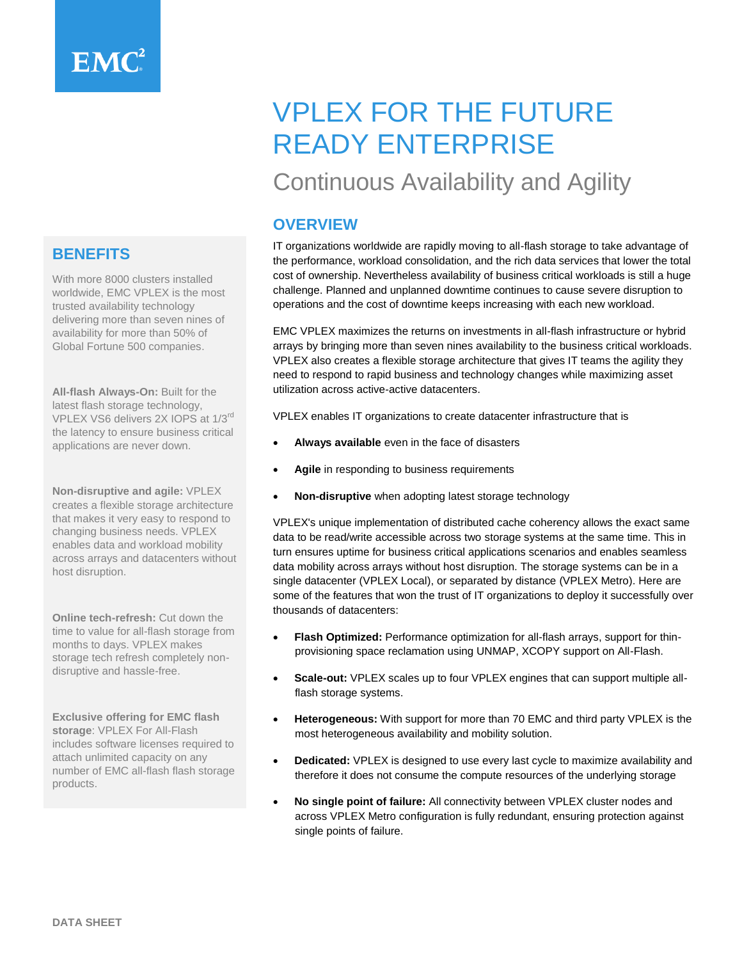# **BENEFITS**

With more 8000 clusters installed worldwide, EMC VPLEX is the most trusted availability technology delivering more than seven nines of availability for more than 50% of Global Fortune 500 companies.

**All-flash Always-On:** Built for the latest flash storage technology, VPLEX VS6 delivers 2X IOPS at 1/3rd the latency to ensure business critical applications are never down.

**Non-disruptive and agile:** VPLEX creates a flexible storage architecture that makes it very easy to respond to changing business needs. VPLEX enables data and workload mobility across arrays and datacenters without host disruption.

**Online tech-refresh:** Cut down the time to value for all-flash storage from months to days. VPLEX makes storage tech refresh completely nondisruptive and hassle-free.

**Exclusive offering for EMC flash storage**: VPLEX For All-Flash includes software licenses required to attach unlimited capacity on any number of EMC all-flash flash storage products.

# VPLEX FOR THE FUTURE READY ENTERPRISE

# Continuous Availability and Agility

# **OVERVIEW**

IT organizations worldwide are rapidly moving to all-flash storage to take advantage of the performance, workload consolidation, and the rich data services that lower the total cost of ownership. Nevertheless availability of business critical workloads is still a huge challenge. Planned and unplanned downtime continues to cause severe disruption to operations and the cost of downtime keeps increasing with each new workload.

EMC VPLEX maximizes the returns on investments in all-flash infrastructure or hybrid arrays by bringing more than seven nines availability to the business critical workloads. VPLEX also creates a flexible storage architecture that gives IT teams the agility they need to respond to rapid business and technology changes while maximizing asset utilization across active-active datacenters.

VPLEX enables IT organizations to create datacenter infrastructure that is

- **Always available** even in the face of disasters
- **Agile** in responding to business requirements
- **Non-disruptive** when adopting latest storage technology

VPLEX's unique implementation of distributed cache coherency allows the exact same data to be read/write accessible across two storage systems at the same time. This in turn ensures uptime for business critical applications scenarios and enables seamless data mobility across arrays without host disruption. The storage systems can be in a single datacenter (VPLEX Local), or separated by distance (VPLEX Metro). Here are some of the features that won the trust of IT organizations to deploy it successfully over thousands of datacenters:

- **Flash Optimized:** Performance optimization for all-flash arrays, support for thinprovisioning space reclamation using UNMAP, XCOPY support on All-Flash.
- **Scale-out:** VPLEX scales up to four VPLEX engines that can support multiple allflash storage systems.
- **Heterogeneous:** With support for more than 70 EMC and third party VPLEX is the most heterogeneous availability and mobility solution.
- **Dedicated:** VPLEX is designed to use every last cycle to maximize availability and therefore it does not consume the compute resources of the underlying storage
- **No single point of failure:** All connectivity between VPLEX cluster nodes and across VPLEX Metro configuration is fully redundant, ensuring protection against single points of failure.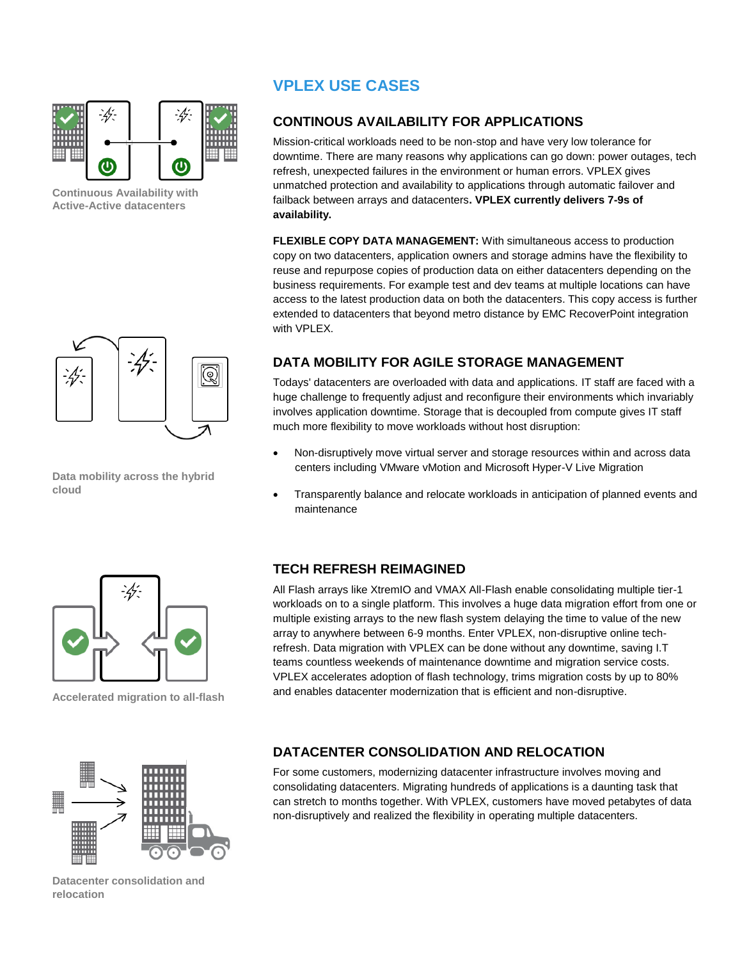

**Continuous Availability with Active-Active datacenters**

# **VPLEX USE CASES**

# **CONTINOUS AVAILABILITY FOR APPLICATIONS**

Mission-critical workloads need to be non-stop and have very low tolerance for downtime. There are many reasons why applications can go down: power outages, tech refresh, unexpected failures in the environment or human errors. VPLEX gives unmatched protection and availability to applications through automatic failover and failback between arrays and datacenters**. VPLEX currently delivers 7-9s of availability.**

**FLEXIBLE COPY DATA MANAGEMENT:** With simultaneous access to production copy on two datacenters, application owners and storage admins have the flexibility to reuse and repurpose copies of production data on either datacenters depending on the business requirements. For example test and dev teams at multiple locations can have access to the latest production data on both the datacenters. This copy access is further extended to datacenters that beyond metro distance by EMC RecoverPoint integration with VPLEX.

# Q

**Data mobility across the hybrid cloud**

# **DATA MOBILITY FOR AGILE STORAGE MANAGEMENT**

Todays' datacenters are overloaded with data and applications. IT staff are faced with a huge challenge to frequently adjust and reconfigure their environments which invariably involves application downtime. Storage that is decoupled from compute gives IT staff much more flexibility to move workloads without host disruption:

- Non-disruptively move virtual server and storage resources within and across data centers including VMware vMotion and Microsoft Hyper-V Live Migration
- Transparently balance and relocate workloads in anticipation of planned events and maintenance

## **TECH REFRESH REIMAGINED**

All Flash arrays like XtremIO and VMAX All-Flash enable consolidating multiple tier-1 workloads on to a single platform. This involves a huge data migration effort from one or multiple existing arrays to the new flash system delaying the time to value of the new array to anywhere between 6-9 months. Enter VPLEX, non-disruptive online techrefresh. Data migration with VPLEX can be done without any downtime, saving I.T teams countless weekends of maintenance downtime and migration service costs. VPLEX accelerates adoption of flash technology, trims migration costs by up to 80% and enables datacenter modernization that is efficient and non-disruptive.

## **DATACENTER CONSOLIDATION AND RELOCATION**

For some customers, modernizing datacenter infrastructure involves moving and consolidating datacenters. Migrating hundreds of applications is a daunting task that can stretch to months together. With VPLEX, customers have moved petabytes of data non-disruptively and realized the flexibility in operating multiple datacenters.



**Accelerated migration to all-flash**



**Datacenter consolidation and relocation**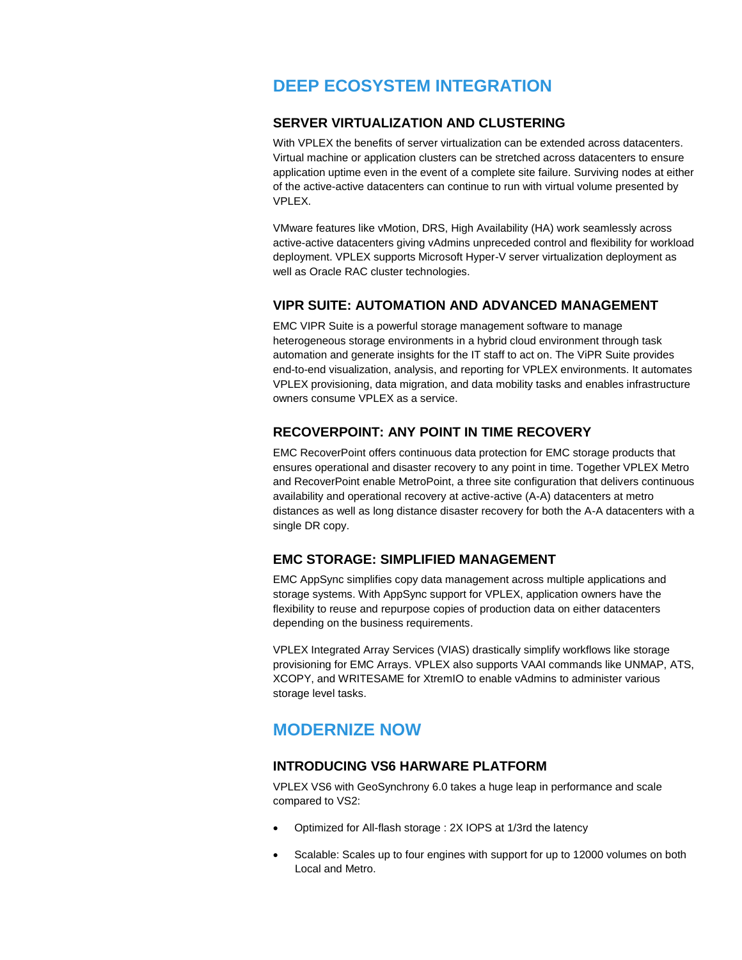# **DEEP ECOSYSTEM INTEGRATION**

#### **SERVER VIRTUALIZATION AND CLUSTERING**

With VPLEX the benefits of server virtualization can be extended across datacenters. Virtual machine or application clusters can be stretched across datacenters to ensure application uptime even in the event of a complete site failure. Surviving nodes at either of the active-active datacenters can continue to run with virtual volume presented by VPLEX.

VMware features like vMotion, DRS, High Availability (HA) work seamlessly across active-active datacenters giving vAdmins unpreceded control and flexibility for workload deployment. VPLEX supports Microsoft Hyper-V server virtualization deployment as well as Oracle RAC cluster technologies.

#### **VIPR SUITE: AUTOMATION AND ADVANCED MANAGEMENT**

EMC VIPR Suite is a powerful storage management software to manage heterogeneous storage environments in a hybrid cloud environment through task automation and generate insights for the IT staff to act on. The ViPR Suite provides end-to-end visualization, analysis, and reporting for VPLEX environments. It automates VPLEX provisioning, data migration, and data mobility tasks and enables infrastructure owners consume VPLEX as a service.

#### **RECOVERPOINT: ANY POINT IN TIME RECOVERY**

EMC RecoverPoint offers continuous data protection for EMC storage products that ensures operational and disaster recovery to any point in time. Together VPLEX Metro and RecoverPoint enable MetroPoint, a three site configuration that delivers continuous availability and operational recovery at active-active (A-A) datacenters at metro distances as well as long distance disaster recovery for both the A-A datacenters with a single DR copy.

### **EMC STORAGE: SIMPLIFIED MANAGEMENT**

EMC AppSync simplifies copy data management across multiple applications and storage systems. With AppSync support for VPLEX, application owners have the flexibility to reuse and repurpose copies of production data on either datacenters depending on the business requirements.

VPLEX Integrated Array Services (VIAS) drastically simplify workflows like storage provisioning for EMC Arrays. VPLEX also supports VAAI commands like UNMAP, ATS, XCOPY, and WRITESAME for XtremIO to enable vAdmins to administer various storage level tasks.

# **MODERNIZE NOW**

#### **INTRODUCING VS6 HARWARE PLATFORM**

VPLEX VS6 with GeoSynchrony 6.0 takes a huge leap in performance and scale compared to VS2:

- Optimized for All-flash storage : 2X IOPS at 1/3rd the latency
- Scalable: Scales up to four engines with support for up to 12000 volumes on both Local and Metro.